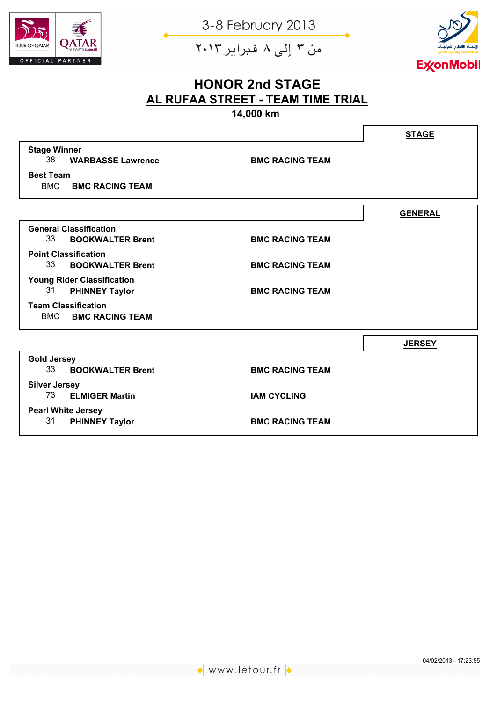

من ۳ إلى ۸ فبراير ۲۰۱۳



# **HONOR 2nd STAGE AL RUFAA STREET - TEAM TIME TRIAL**

**14,000 km**

|                                      |                        | <b>STAGE</b>   |
|--------------------------------------|------------------------|----------------|
| <b>Stage Winner</b>                  |                        |                |
| 38<br><b>WARBASSE Lawrence</b>       | <b>BMC RACING TEAM</b> |                |
| <b>Best Team</b>                     |                        |                |
| <b>BMC</b><br><b>BMC RACING TEAM</b> |                        |                |
|                                      |                        | <b>GENERAL</b> |
| <b>General Classification</b>        |                        |                |
| 33<br><b>BOOKWALTER Brent</b>        | <b>BMC RACING TEAM</b> |                |
| <b>Point Classification</b>          |                        |                |
| 33<br><b>BOOKWALTER Brent</b>        | <b>BMC RACING TEAM</b> |                |
| <b>Young Rider Classification</b>    |                        |                |
| 31<br><b>PHINNEY Taylor</b>          | <b>BMC RACING TEAM</b> |                |
| <b>Team Classification</b>           |                        |                |
| <b>BMC</b><br><b>BMC RACING TEAM</b> |                        |                |
|                                      |                        | <b>JERSEY</b>  |
| <b>Gold Jersey</b>                   |                        |                |
| 33<br><b>BOOKWALTER Brent</b>        | <b>BMC RACING TEAM</b> |                |
| <b>Silver Jersey</b>                 |                        |                |
| 73 ELMIGER Martin                    | <b>IAM CYCLING</b>     |                |
| <b>Pearl White Jersey</b>            |                        |                |
| 31<br><b>PHINNEY Taylor</b>          | <b>BMC RACING TEAM</b> |                |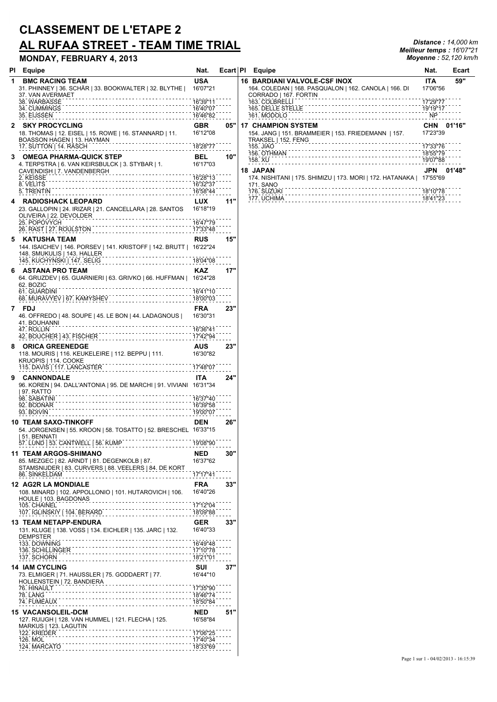# **CLASSEMENT DE L'ETAPE 2 AL RUFAA STREET - TEAM TIME TRIAL** *Distance : 14,000 km*

#### **MONDAY, FEBRUARY 4, 2013** *Moyenne : 52,120 km/h*

| . - - - - - - - -                                                                                                                                                              | .                      |     | . . <b>-</b> 1.00                                                                          |
|--------------------------------------------------------------------------------------------------------------------------------------------------------------------------------|------------------------|-----|--------------------------------------------------------------------------------------------|
| 1<br><b>BMC RACING TEAM</b><br>31. PHINNEY   36. SCHÄR   33. BOOKWALTER   32. BLYTHE  <br>37. VAN AVERMAET                                                                     | <b>USA</b><br>16'07"21 |     | <b>16 BARDIANI VALVOLE-C</b><br>164. COLEDAN   168. PASQ<br>CORRADO   167. FORTIN          |
| 38. WARBASSE<br>34. CUMMINGS<br>35. EIJSSEN<br>16'46"82                                                                                                                        | 16'39"11<br>16'40"07   |     | 163. COLBRELLI<br>165. DELLE STELLE<br>161. MODOLO                                         |
| <b>SKY PROCYCLING</b><br>2.<br>18. THOMAS   12. EISEL   15. ROWE   16. STANNARD   11.<br>10. 11.000 HAGEN   13. HAYMAN<br>BOASSON HAGEN   13. HAYMAN<br>17. SUTTON   14. RASCH | <b>GBR</b><br>16'12"08 | 05" | <b>17 CHAMPION SYSTEM</b><br>154. JANG   151. BRAMMEIE<br>TRAKSEL   152. FENG<br>155. JIAO |
| 3<br><b>OMEGA PHARMA-QUICK STEP</b><br>4. TERPSTRA   6. VAN KEIRSBULCK   3. STYBAR   1.                                                                                        | <b>BEL</b>             | 10" | 156. OTHMAN<br>158. XU<br><b>18 JAPAN</b>                                                  |
| 4. TERPSTRA   6. VAN KEIKSBULGIN   G. C.<br>CAVENDISH   7. VANDENBERGH<br>2. KEISSE<br>5. TRENTIN<br>1658''44                                                                  |                        |     | 174. NISHITANI   175. SHIMI<br>171. SANO<br>176. SUZUKI                                    |
| <b>RADIOSHACK LEOPARD</b><br>4<br>23. GALLOPIN   24. IRIZAR   21. CANCELLARA   28. SANTOS<br>OLIVEIRA   22. DEVOLDER<br>25. POPOVYCH<br>26. RAST   27. ROULSTON                | <b>LUX</b><br>16'18"19 | 11" | 177. UCHIMA                                                                                |
|                                                                                                                                                                                |                        |     |                                                                                            |
| <b>KATUSHA TEAM</b><br>5<br>144. ISAICHEV   146. PORSEV   141. KRISTOFF   142. BRUTT   16'22"24<br>148. SMUKULIS J 143. HALLER<br>145. KUCHYNSKI I 147. SELIG                  | <b>RUS</b>             | 15" |                                                                                            |
|                                                                                                                                                                                |                        |     |                                                                                            |
| ASTANA PRO TEAM<br>6<br>64. GRUZDEV   65. GUARNIERI   63. GRIVKO   66. HUFFMAN   16'24"28<br>62. BOZIC                                                                         | <b>KAZ</b>             | 17" |                                                                                            |
| 61. GUARDINI<br>61. GUARDINI - TANNYSHEV<br>68. MURAVYEV   67. KAMYSHEV                                                                                                        |                        |     |                                                                                            |
| 7<br>FDJ                                                                                                                                                                       | <b>FRA</b>             | 23" |                                                                                            |
| 46. OFFREDO   48. SOUPE   45. LE BON   44. LADAGNOUS   16'30"31<br>41. BOUHANNI<br>47. ROLLIN                                                                                  |                        |     |                                                                                            |
| 42. BOUCHER   43. FISCHER<br>17'42''94                                                                                                                                         |                        |     |                                                                                            |
| <b>ORICA GREENEDGE</b><br>8<br>118. MOURIS   116. KEUKELEIRE   112. BEPPU   111.<br>KRUOPIS   114. COOKE                                                                       | AUS<br>16'30"82        | 23" |                                                                                            |
| 17'48"07<br>115. DAVIS   117. LANCASTER                                                                                                                                        |                        |     |                                                                                            |
| <b>CANNONDALE</b><br>9<br>96. KOREN   94. DALL'ANTONIA   95. DE MARCHI   91. VIVIANI 16'31"34<br>  97. RATTO                                                                   | ITA.                   | 24" |                                                                                            |
| 1637"40<br>98. SABATINI<br>92. BODNAR<br>93. BOIVIN                                                                                                                            |                        |     |                                                                                            |
| <b>10 TEAM SAXO-TINKOFF</b><br>54. JORGENSEN   55. KROON   58. TOSATTO   52. BRESCHEL 16'33"15<br>51. BENNATI<br>57. LUND   53. CANTWELL   56. KUMP                            | <b>DEN</b><br>19'08"90 | 26" |                                                                                            |
| <b>11 TEAM ARGOS-SHIMANO</b>                                                                                                                                                   | <b>NED</b>             | 30" |                                                                                            |
| 85. MEZGEC   82. ARNDT   81. DEGENKOLB   87.<br>STAMSNIJDER   83. CURVERS   88. VEELERS   84. DE KORT<br>86. SINKELDAM                                                         | 16'37"62<br>17'17"41   |     |                                                                                            |
| .<br><b>12 AG2R LA MONDIALE</b>                                                                                                                                                | <b>FRA</b>             | 33" |                                                                                            |
| 108. MINARD   102. APPOLLONIO   101. HUTAROVICH   106.<br>HOULE   103. BAGDONAS<br>de de decembre de<br>105. CHAINEL                                                           | 16'40"26<br>17'12"04   |     |                                                                                            |
| 107. IGLINSKIY   104. BERARD<br>.                                                                                                                                              | 18'09"88               |     |                                                                                            |
| <b>13 TEAM NETAPP-ENDURA</b><br>131. KLUGE   138. VOSS   134. EICHLER   135. JARC   132.<br>DEMPSTER                                                                           | GER<br>16'40"33        | 33" |                                                                                            |
| 133. DOWNING                                                                                                                                                                   | 16'49"48               |     |                                                                                            |
| 136. SCHILLINGER<br>137. SCHORN                                                                                                                                                | 17'10"78<br>18'21"01   |     |                                                                                            |
| <b>14 IAM CYCLING</b>                                                                                                                                                          | <b>SUI</b>             | 37" |                                                                                            |
| 73. ELMIGER   71. HAUSSLER   75. GODDAERT   77.<br>HOLLENSTEIN   72. BANDIERA<br>76. HINAULT                                                                                   | 16'44"10<br>17'35"90   |     |                                                                                            |
| <b>78. LANG</b><br>74. FUMEAUX                                                                                                                                                 | 18'46"74<br>18'50"84   |     |                                                                                            |
| <b>15 VACANSOLEIL-DCM</b><br>127. RUIJGH   128. VAN HUMMEL   121. FLECHA   125.<br>MARKUS   123. LAGUTIN                                                                       | <b>NED</b><br>16'58"84 | 51" |                                                                                            |
| 122. KREDER<br>126. MOL                                                                                                                                                        | 17'06"25<br>17'40"34   |     |                                                                                            |
| 124. MARCATO                                                                                                                                                                   | 18'33"69               |     |                                                                                            |
|                                                                                                                                                                                |                        |     |                                                                                            |

| PI Equipe                                              | Nat.       | Ecart PI | Equipe                                                    | Nat.                  | Ecart      |
|--------------------------------------------------------|------------|----------|-----------------------------------------------------------|-----------------------|------------|
| <b>BMC RACING TEAM</b>                                 | <b>USA</b> |          | <b>16 BARDIANI VALVOLE-CSF INOX</b>                       | <b>ITA</b>            | 59"        |
| 31. PHINNEY   36. SCHÄR   33. BOOKWALTER   32. BLYTHE  | 16'07"21   |          | 164. COLEDAN   168. PASQUALON   162. CANOLA   166. DI     | 17'06"56              |            |
| 37. VAN AVERMAET                                       |            |          | CORRADO   167. FORTIN                                     |                       |            |
| 38. WARBASSE                                           | 16'39"11   |          | 163. COLBRELLI                                            | 17'29"77              |            |
| 34. CUMMINGS                                           | 16'40"07   |          | 165. DELLE STELLE                                         | 19'19"17<br><b>NP</b> |            |
| 35. EIJSSEN                                            | 16'46"82   |          | 161. MODOLO                                               |                       |            |
| 2 SKY PROCYCLING                                       | <b>GBR</b> | 05"      | <b>17 CHAMPION SYSTEM</b>                                 |                       | CHN 01'16" |
| 18. THOMAS   12. EISEL   15. ROWE   16. STANNARD   11. | 16'12"08   |          | 154. JANG   151. BRAMMEIER   153. FRIEDEMANN   157.       | 17'23"39              |            |
| BOASSON HAGEN   13. HAYMAN                             |            |          | TRAKSEL   152. FENG                                       |                       |            |
| 17. SUTTON   14. RASCH                                 | 18'28"77   |          | <b>155. JIAO</b>                                          | 17'33"76              |            |
| 3 OMEGA PHARMA-QUICK STEP                              | <b>BEL</b> | 10"      | 156. OTHMAN                                               | 18'55"79              |            |
| 4. TERPSTRA   6. VAN KEIRSBULCK   3. STYBAR   1.       | 16'17"03   |          | 158. XU                                                   | 19'07"88              |            |
| CAVENDISH   7. VANDENBERGH                             |            |          | <b>18 JAPAN</b>                                           |                       | JPN 01'48" |
| 2. KEISSE                                              | 16'28"13   |          | 174. NISHITANI   175. SHIMIZU   173. MORI   172. HATANAKA | 17'55"69              |            |
| 8. VELITS                                              | 16'32"37   |          | 171. SANO                                                 |                       |            |
| 5. TRENTIN                                             | 16'58"44   |          | 176. SUZUKI                                               | 18'10"78              |            |
| 4 RADIOSHACK LEOPARD                                   | <b>LUX</b> | 11"      | 177. UCHIMA                                               | 18'41"23              |            |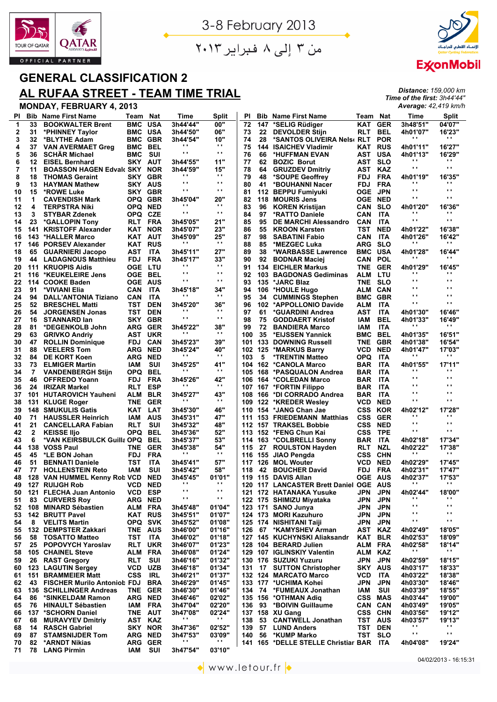



*Distance: 159,000 km Time of the first: 3h44'44" Average: 42,419 km/h*

من ۳ إلى ۸ فبراير ۲۰۱۳

# **GENERAL CLASSIFICATION 2**

## **AL RUFAA STREET - TEAM TIME TRIAL**

| ΡI           | <b>Bib</b>   | <b>Name First Name</b>             | Team           | <b>Nat</b> | Time                       | Split                  | ΡI  | Bib. | <b>Name First Name</b>              | Team           | Nat        | Time                 | <b>Split</b>           |
|--------------|--------------|------------------------------------|----------------|------------|----------------------------|------------------------|-----|------|-------------------------------------|----------------|------------|----------------------|------------------------|
| $\mathbf{1}$ | 33           | <b>BOOKWALTER Brent</b>            | BMC            | <b>USA</b> | 3h44'44"                   | 00"                    | 72  | 147  | *SELIG Rüdiger                      | KAT            | <b>GER</b> | 3h48'51"             | 04'07"                 |
| 2            | 31           | *PHINNEY Taylor                    | BMC            | <b>USA</b> | 3h44'50"                   | 06"                    | 73  | 22   | <b>DEVOLDER Stijn</b>               | <b>RLT</b>     | <b>BEL</b> | 4h01'07"             | 16'23"                 |
| 3            | 32           | *BLYTHE Adam                       | BMC            | GBR        | 3h44'54"                   | 10"                    | 74  | 28   | *SANTOS OLIVEIRA Nels( RLT)         |                | <b>POR</b> |                      | . .                    |
| 4            | 37           | <b>VAN AVERMAET Greg</b>           | BMC            | <b>BEL</b> | .,                         | $\blacksquare$         | 75  | 144  | <b>ISAICHEV Vladimir</b>            | KAT            | RUS        | 4h01'11"             | 16'27"                 |
| 5            | 36           | <b>SCHAR Michael</b>               | BMC            | SUI        | .,                         | $\blacksquare$         | 76  | 66   | *HUFFMAN EVAN                       | AST USA        |            | 4h01'13"             | 16'29"                 |
| 6            | 12           | <b>EISEL Bernhard</b>              | SKY            | <b>AUT</b> | 3h44'55"                   | 11"                    | 77  | 62   | <b>BOZIC Borut</b>                  | AST            | <b>SLO</b> |                      |                        |
| 7            | 11           | <b>BOASSON HAGEN Edvalt SKY</b>    |                | <b>NOR</b> | 3h44'59"                   | 15"                    | 78  | 64   | <b>GRUZDEV Dmitriy</b>              | AST            | <b>KAZ</b> | $\cdot$ ,            | $\mathbf{r}$           |
| 8            | 18           | <b>THOMAS Geraint</b>              | SKY            | <b>GBR</b> | .,                         | $\blacksquare$         | 79  | 48   | *SOUPE Geoffrey                     | <b>FDJ</b>     | <b>FRA</b> | 4h01'19"             | 16'35"                 |
| 9            | 13           | <b>HAYMAN Mathew</b>               | <b>SKY AUS</b> |            | .,                         | $\blacksquare$         | 80  | 41   | *BOUHANNI Nacer                     | <b>FDJ</b>     | <b>FRA</b> |                      | ω,                     |
| 10           | 15           | *ROWE Luke                         | SKY            | <b>GBR</b> | .,                         | $\blacksquare$         | 81  |      | 112 BEPPU Fumiyuki                  | OGE            | <b>JPN</b> | $\cdot$ ,            | $\blacksquare$         |
| 11           | 1            | <b>CAVENDISH Mark</b>              | OPQ GBR        |            | 3h45'04"                   | 20"                    | 82  |      | 118 MOURIS Jens                     | OGE            | <b>NED</b> | $\cdot$ .            | $\mathbf{r}$           |
| 12           | 4            |                                    | OPQ.           | <b>NED</b> | . .                        | $\bullet$ .            | 83  | 96   |                                     |                | <b>SLO</b> | 4h01'20"             | 16'36"                 |
|              |              | <b>TERPSTRA Niki</b>               |                |            | .,                         | $\bullet$ .            |     |      | <b>KOREN Kristijan</b>              | CAN            |            |                      | ω,                     |
| 13           | 3            | STYBAR Zdenek                      | OPQ CZE        |            |                            |                        | 84  | 97   | *RATTO Daniele                      | CAN            | <b>ITA</b> | υ,                   | Ω.                     |
| 14           | 23           | *GALLOPIN Tony                     | RLT            | FRA        | 3h45'05"                   | 21"                    | 85  | 95   | <b>DE MARCHI Alessandro</b>         | <b>CAN</b>     | <b>ITA</b> |                      |                        |
| 15           | 141          | <b>KRISTOFF Alexander</b>          | KAT            | <b>NOR</b> | 3h45'07"                   | 23"                    | 86  | 55   | <b>KROON Karsten</b>                | TST            | <b>NED</b> | 4h01'22"             | 16'38"                 |
| 16           | 143          | *HALLER Marco                      | KAT            | AUT        | 3h45'09"                   | 25"                    | 87  | 98   | <b>SABATINI Fabio</b>               | CAN            | ITA        | 4h01'26"             | 16'42"                 |
| 17           | 146          | <b>PORSEV Alexander</b>            | KAT            | <b>RUS</b> | . .                        | $\mathbf{r}$           | 88  | 85   | *MEZGEC Luka                        | <b>ARG</b>     | <b>SLO</b> |                      | . .                    |
| 18           | 65           | <b>GUARNIERI Jacopo</b>            | AST            | <b>ITA</b> | 3h45'11"                   | 27"                    | 89  | 38   | *WARBASSE Lawrence                  | <b>BMC</b>     | USA        | 4h01'28"             | 16'44"                 |
| 19           | 44           | <b>LADAGNOUS Matthieu</b>          | <b>FDJ</b>     | <b>FRA</b> | 3h45'17"                   | 33"                    | 90  | 92   | <b>BODNAR Maciej</b>                | CAN            | <b>POL</b> |                      | . .                    |
| 20           | 111          | <b>KRUOPIS Aidis</b>               | OGE            | LTU        | .,                         | $\bullet$ .            | 91  |      | <b>134 EICHLER Markus</b>           | TNE            | GER        | 4h01'29"             | 16'45"                 |
| 21           | 116          | *KEUKELEIRE Jens                   | OGE.           | BEL        | Ω.                         | $\mathbf{r}$ .         | 92  |      | 103 BAGDONAS Gediminas              | ALM            | LTU        | υ,                   | ω,                     |
| 22           | 114          | <b>COOKE Baden</b>                 | OGE            | AUS        | .,                         | $\blacksquare$         | 93  | 135  | *JARC Blaz                          | TNE            | <b>SLO</b> | $\cdot$ ,            | $\mathbf{r}$           |
| 23           | 91           | *VIVIANI Elia                      | <b>CAN</b>     | <b>ITA</b> | 3h45'18"                   | 34"                    | 94  |      | 106 *HOULE Hugo                     | ALM CAN        |            | ω,                   | $\mathbf{r}$           |
| 24           | 94           | <b>DALL'ANTONIA Tiziano</b>        | CAN            | <b>ITA</b> |                            | $\blacksquare$         | 95  | 34   | <b>CUMMINGS Stephen</b>             | BMC            | GBR        | ω,                   | $\mathbf{r}$           |
| 25           | 52           | <b>BRESCHEL Matti</b>              | TST            | <b>DEN</b> | 3h45'20"                   | 36"                    | 96  |      | 102 *APPOLLONIO Davide              | ALM            | <b>ITA</b> | $\cdot$ .            | $\blacksquare$         |
| 26           | 54           | <b>JORGENSEN Jonas</b>             | TST            | <b>DEN</b> | . .                        | $\blacksquare$         | 97  | 61   | *GUARDINI Andrea                    | AST            | <b>ITA</b> | 4h01'30"             | 16'46"                 |
| 27           | 16           | <b>STANNARD lan</b>                | SKY            | <b>GBR</b> | . .                        | $\mathbf{r}$ .         | 98  | 75   | <b>GODDAERT Kristof</b>             | IAM.           | <b>BEL</b> | 4h01'33"             | 16'49"                 |
| 28           | 81           | *DEGENKOLB John                    | ARG            | <b>GER</b> | 3h45'22"                   | 38"                    | 99  | 72   | <b>BANDIERA Marco</b>               | IAM            | <b>ITA</b> |                      | ω,                     |
| 29           | 63           |                                    | AST            | <b>UKR</b> | . .                        | $\bullet$ .            | 100 | 35   | *EIJSSEN Yannick                    | BMC            | BEL        | 4h01'35"             | 16'51"                 |
|              |              | <b>GRIVKO Andriy</b>               |                |            |                            | 39"                    |     |      |                                     |                |            |                      |                        |
| 30           | 47           | <b>ROLLIN Dominique</b>            | <b>FDJ</b>     | <b>CAN</b> | 3h45'23"                   |                        | 101 |      | <b>133 DOWNING Russell</b>          | TNE            | GBR        | 4h01'38"             | 16'54"                 |
| 31           | 88           | <b>VEELERS Tom</b>                 | <b>ARG</b>     | <b>NED</b> | 3h45'24"                   | 40"<br>$\bullet$ .     | 102 | 125  | *MARKUS Barry                       | VCD.           | <b>NED</b> | 4h01'47"<br>.,       | 17'03"<br>. .          |
| 32           | 84           | <b>DE KORT Koen</b>                | ARG            | <b>NED</b> |                            |                        | 103 | 5    | <b>*TRENTIN Matteo</b>              | OPQ            | <b>ITA</b> |                      |                        |
| 33           | 73           | <b>ELMIGER Martin</b>              | IAM            | SUI        | 3h45'25"                   | 41"                    | 104 |      | 162 *CANOLA Marco                   | BAR            | <b>ITA</b> | 4h01'55"             | 17'11"                 |
| 34           | 7            | <b>VANDENBERGH Stijn</b>           | OPQ            | <b>BEL</b> |                            | $\bullet$ .            | 105 | 168  | *PASQUALON Andrea                   | BAR            | <b>ITA</b> | .,                   | $\mathbf{r}$           |
| 35           | 46           | <b>OFFREDO Yoann</b>               | <b>FDJ</b>     | <b>FRA</b> | 3h45'26"                   | 42"                    | 106 |      | 164 *COLEDAN Marco                  | BAR            | <b>ITA</b> | ω,                   | $\mathbf{r}$           |
| 36           | 24           | <b>IRIZAR Markel</b>               | <b>RLT</b>     | <b>ESP</b> |                            | $\bullet$ .            | 107 |      | 167 *FORTIN Filippo                 | BAR            | <b>ITA</b> | Ω.                   | $\mathbf{r}$           |
| 37           | 101          | <b>HUTAROVICH Yauheni</b>          | ALM            | <b>BLR</b> | 3h45'27"                   | 43"                    | 108 |      | 166 *DI CORRADO Andrea              | BAR            | <b>ITA</b> | Ω.                   | $\mathbf{r}$           |
| 38           | 131          | <b>KLUGE Roger</b>                 | TNE            | <b>GER</b> |                            | $\mathbf{r}$           | 109 |      | 122 *KREDER Wesley                  | VCD            | <b>NED</b> | $\cdot$ .            | $\blacksquare$         |
| 39           | 148          | <b>SMUKULIS Gatis</b>              | KAT            | LAT        | 3h45'30"                   | 46"                    | 110 |      | 154 *JANG Chan Jae                  | CSS            | <b>KOR</b> | 4h02'12"             | 17'28"                 |
| 40           | 71           | <b>HAUSSLER Heinrich</b>           | IAM            | <b>AUS</b> | 3h45'31"                   | 47"                    | 111 |      | 153 FRIEDEMANN Matthias             | CSS            | <b>GER</b> | .,                   | . .                    |
| 41           | 21           | <b>CANCELLARA Fabian</b>           | <b>RLT</b>     | SUI        | 3h45'32"                   | 48"                    |     |      | 112 157 TRAKSEL Bobbie              | CSS            | <b>NED</b> | Ω.                   | $\mathbf{r}$           |
| 42           | $\mathbf{2}$ | <b>KEISSE IIjo</b>                 | <b>OPQ</b>     | <b>BEL</b> | 3h45'36"                   | 52"                    | 113 |      | 152 *FENG Chun Kai                  | CSS            | <b>TPE</b> | $\cdot$ .            | $\blacksquare$         |
| 43           | 6            | *VAN KEIRSBULCK Guilla OPQ         |                | <b>BEL</b> | 3h45'37"                   | 53"                    |     |      | 114 163 *COLBRELLI Sonny            | BAR            | <b>ITA</b> | 4h02'18"             | 17'34"                 |
| 44           | 138          | <b>VOSS Paul</b>                   | <b>TNE</b>     | <b>GER</b> | 3h45'38"                   | 54"                    | 115 |      | 27 ROULSTON Hayden                  | RLT            | <b>NZL</b> | 4h02'22"             | 17'38"                 |
| 45           | 45           | *LE BON Johan                      | <b>FDJ</b>     | <b>FRA</b> | $\bullet$ .                | $\mathbf{r}$           |     |      | 116 155 JIAO Pengda                 | css            | <b>CHN</b> | .,                   | . .                    |
| 46           | 51           | <b>BENNATI Daniele</b>             | TST            | <b>ITA</b> | 3h45'41"                   | 57"                    | 117 | 126  | <b>MOL Wouter</b>                   | VCD            | <b>NED</b> | 4h02'29"             | 17'45"                 |
| 47           | 77           | <b>HOLLENSTEIN Reto</b>            | IAM            | SUI        | 3h45'42"                   | 58"                    | 118 | 42   | <b>BOUCHER David</b>                | FDJ            | <b>FRA</b> | 4h02'31"             | 17'47"                 |
|              |              |                                    |                |            |                            |                        |     |      |                                     |                |            |                      |                        |
| 48           |              | 128 VAN HUMMEL Kenny Rot VCD       |                | <b>NED</b> | 3h45'45"<br>$\blacksquare$ | 01'01"<br>$\bullet$ .  | 119 |      | 115 DAVIS Allan                     | OGE            | AUS        | 4h02'37"<br>$\cdots$ | 17'53"<br>$\mathbf{r}$ |
| 49           |              | 127 RUIJGH Rob                     | <b>VCD</b>     | <b>NED</b> | .,                         | $\blacksquare$         | 120 |      | 117 LANCASTER Brett Daniel OGE      |                | <b>AUS</b> |                      |                        |
| 50           |              | 121 FLECHA Juan Antonio            | <b>VCD</b>     | <b>ESP</b> | Ω.                         | $\mathbf{r}$           |     |      | 121 172 HATANAKA Yusuke             | <b>JPN</b>     | <b>JPN</b> | 4h02'44"<br>υ,       | 18'00"<br>. .          |
| 51           | 83           | <b>CURVERS Roy</b>                 | ARG NED        |            |                            |                        |     |      | 122 175 SHIMIZU Miyataka            | JPN            | <b>JPN</b> | $\cdot$ ,            | Ω.                     |
| 52           |              | 108 MINARD Sébastien               | ALM            | <b>FRA</b> | 3h45'48"                   | 01'04"                 |     |      | 123 171 SANO Junya                  | JPN            | <b>JPN</b> |                      |                        |
| 53           |              | 142 BRUTT Pavel                    | <b>KAT RUS</b> |            | 3h45'51"                   | 01'07"                 |     |      | 124 173 MORI Kazuhuro               | JPN            | <b>JPN</b> | $\cdot$ ,            | Ω.                     |
| 54           | 8            | <b>VELITS Martin</b>               | OPQ SVK        |            | 3h45'52"                   | 01'08"                 |     |      | 125 174 NISHITANI Taiji             | JPN            | <b>JPN</b> | υ,                   | . .                    |
| 55           |              | 132 DEMPSTER Zakkari               | TNE AUS        |            | 3h46'00"                   | 01'16"                 | 126 |      | 67 *KAMYSHEV Arman                  | AST KAZ        |            | 4h02'49"             | 18'05"                 |
| 56           | 58           | <b>TOSATTO Matteo</b>              | TST            | <b>ITA</b> | 3h46'02"                   | 01'18"                 |     |      | 127 145 KUCHYNSKI Aliaksandr        | KAT BLR        |            | 4h02'53"             | 18'09"                 |
| 57           |              | 25 POPOVYCH Yaroslav               | RLT UKR        |            | 3h46'07"                   | 01'23"                 |     |      | 128 104 BERARD Julien               | ALM FRA        |            | 4h02'58"             | 18'14"                 |
| 58           |              | 105 CHAINEL Steve                  | ALM            | FRA        | 3h46'08"                   | 01'24"                 |     |      | 129 107 IGLINSKIY Valentin          | ALM KAZ        |            | υ,                   | н.                     |
| 59           | 26           | <b>RAST Gregory</b>                | RLT            | SUI        | 3h46'16"                   | 01'32"                 |     |      | 130 176 SUZUKI Yuzuru               | JPN            | JPN        | 4h02'59"             | 18'15"                 |
| 60           |              | 123 LAGUTIN Sergev                 | <b>VCD</b>     | <b>UZB</b> | 3h46'18"                   | 01'34"                 | 131 |      | 17 SUTTON Christopher               | <b>SKY AUS</b> |            | 4h03'17"             | 18'33"                 |
| 61           |              | <b>151 BRAMMEIER Matt</b>          | <b>CSS</b>     | IRL        | 3h46'21"                   | 01'37"                 |     |      | 132 124 MARCATO Marco               | VCD            | ITA        | 4h03'22"             | 18'38"                 |
| 62           | 43           | <b>FISCHER Murilo Antoniol FDJ</b> |                | <b>BRA</b> | 3h46'29"                   | 01'45"                 |     |      | 133 177 *UCHIMA Kohei               | JPN            | <b>JPN</b> | 4h03'30"             | 18'46"                 |
| 63           |              | 136 SCHILLINGER Andreas            | TNE GER        |            | 3h46'30"                   | 01'46"                 | 134 |      | 74 *FUMEAUX Jonathan                | IAM            | SUI        | 4h03'39"             | 18'55"                 |
|              | 86           |                                    | ARG NED        |            |                            | 02'02"                 |     |      | 135 156 *OTHMAN Adig                | <b>CSS MAS</b> |            |                      | 19'00"                 |
| 64           |              | *SINKELDAM Ramon                   |                |            | 3h46'46"                   |                        |     |      |                                     |                |            | 4h03'44"             |                        |
| 65           |              | 76 HINAULT Sébastien               | IAM            | FRA        | 3h47'04"                   | 02'20"                 | 136 |      | 93 *BOIVIN Guillaume                | CAN CAN        |            | 4h03'49"             | 19'05"                 |
| 66           |              | 137 *SCHORN Daniel                 | TNE AUT        |            | 3h47'08"<br>$\mathbf{r}$   | 02'24"<br>$\mathbf{H}$ |     |      | 137 158 XU Gang                     | CSS CHN        |            | 4h03'56"             | 19'12"                 |
| 67           | 68           | <b>MURAVYEV Dmitriy</b>            | AST KAZ        |            |                            |                        | 138 | 53   | <b>CANTWELL Jonathan</b>            | TST AUS        |            | 4h03'57"             | 19'13"<br>$\mathbf{r}$ |
| 68           | 14           | <b>RASCH Gabriel</b>               | SKY NOR        |            | 3h47'36"                   | 02'52"                 | 139 |      | 57 LUND Anders                      | TST DEN        |            | υ,                   |                        |
| 69           | 87           | <b>STAMSNIJDER Tom</b>             | <b>ARG NED</b> |            | 3h47'53"                   | 03'09"                 | 140 | 56   | *KUMP Marko                         | TST SLO        |            | $\blacksquare$       | $\mathbf{r}$           |
| 70           | 82           | *ARNDT Nikias                      | ARG GER        |            | . .                        | .,                     |     |      | 141 165 *DELLE STELLE Christiar BAR |                | ITA        | 4h04'08"             | 19'24"                 |
| 71           | 78           | <b>LANG Pirmin</b>                 | IAM            | SUI        | 3h47'54"                   | 03'10"                 |     |      |                                     |                |            |                      |                        |
|              |              |                                    |                |            |                            |                        |     |      |                                     |                |            |                      |                        |

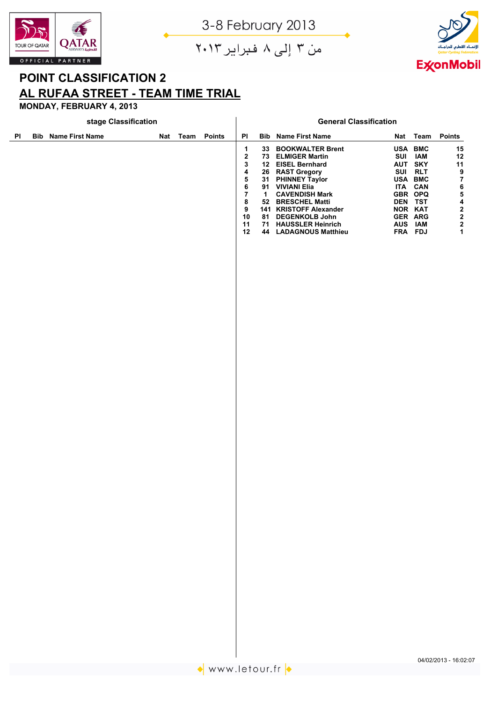



من ۳ إلى ۸ فبراير ۲۰۱۳

# **POINT CLASSIFICATION 2 AL RUFAA STREET - TEAM TIME TRIAL**

|    |            | stage Classification   |  |          |               |                                                                                           |                                                               |                                                                                                                                                                                                                                                                                                |            |                                                                                                                                        |                                               |
|----|------------|------------------------|--|----------|---------------|-------------------------------------------------------------------------------------------|---------------------------------------------------------------|------------------------------------------------------------------------------------------------------------------------------------------------------------------------------------------------------------------------------------------------------------------------------------------------|------------|----------------------------------------------------------------------------------------------------------------------------------------|-----------------------------------------------|
| PI | <b>Bib</b> | <b>Name First Name</b> |  | Nat Team | <b>Points</b> | ${\sf PI}$                                                                                |                                                               | <b>Bib Name First Name</b>                                                                                                                                                                                                                                                                     | <b>Nat</b> | Team                                                                                                                                   | <b>Points</b>                                 |
|    |            |                        |  |          |               | 1<br>2<br>3<br>4<br>5<br>6<br>$\overline{\mathbf{r}}$<br>$\pmb{8}$<br>9<br>10<br>11<br>12 | 33 <sub>o</sub><br>26<br>31<br>91<br>$\mathbf{1}$<br>52<br>81 | <b>BOOKWALTER Brent</b><br>73 ELMIGER Martin<br>12 EISEL Bernhard<br><b>RAST Gregory</b><br><b>PHINNEY Taylor</b><br><b>VIVIANI Elia</b><br><b>CAVENDISH Mark</b><br><b>BRESCHEL Matti</b><br>141 KRISTOFF Alexander<br><b>DEGENKOLB John</b><br>71 HAUSSLER Heinrich<br>44 LADAGNOUS Matthieu | SUI<br>SUI | USA BMC<br><b>IAM</b><br>AUT SKY<br><b>RLT</b><br>USA BMC<br>ITA CAN<br>GBR OPQ<br>DEN TST<br>NOR KAT<br>GER ARG<br>AUS IAM<br>FRA FDJ | 15<br>$12$<br>$11$<br>9<br>$\bf 7$<br>6542221 |
|    |            |                        |  |          |               |                                                                                           |                                                               |                                                                                                                                                                                                                                                                                                |            |                                                                                                                                        |                                               |
|    |            |                        |  |          |               |                                                                                           |                                                               |                                                                                                                                                                                                                                                                                                |            |                                                                                                                                        |                                               |
|    |            |                        |  |          |               |                                                                                           |                                                               |                                                                                                                                                                                                                                                                                                |            |                                                                                                                                        |                                               |
|    |            |                        |  |          |               |                                                                                           |                                                               |                                                                                                                                                                                                                                                                                                |            |                                                                                                                                        |                                               |
|    |            |                        |  |          |               |                                                                                           |                                                               |                                                                                                                                                                                                                                                                                                |            |                                                                                                                                        |                                               |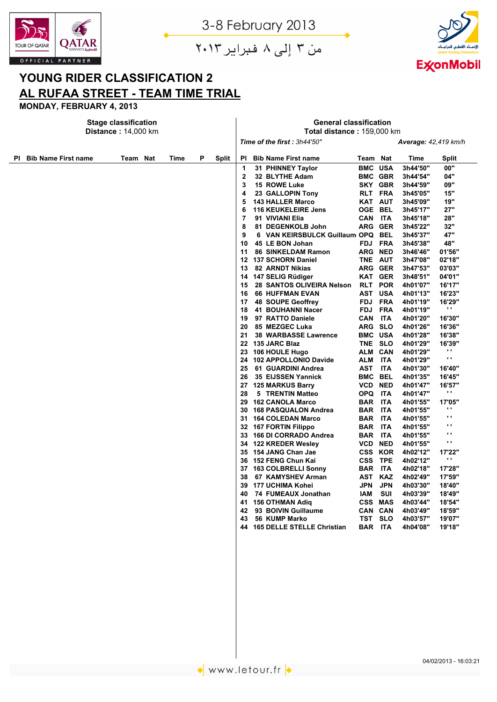



من ۳ إلى ۸ فبراير ۲۰۱۳

# **YOUNG RIDER CLASSIFICATION 2 AL RUFAA STREET - TEAM TIME TRIAL**

|           |                            | <b>Stage classification</b> |  |      |   |              | <b>General classification</b> |                                                            |                                                |                |                           |                      |                           |  |
|-----------|----------------------------|-----------------------------|--|------|---|--------------|-------------------------------|------------------------------------------------------------|------------------------------------------------|----------------|---------------------------|----------------------|---------------------------|--|
|           |                            | <b>Distance: 14,000 km</b>  |  |      |   |              | Total distance: 159,000 km    |                                                            |                                                |                |                           |                      |                           |  |
|           |                            |                             |  |      |   |              |                               | Time of the first: 3h44'50"<br><b>Average: 42,419 km/h</b> |                                                |                |                           |                      |                           |  |
| <b>PI</b> | <b>Bib Name First name</b> | Team Nat                    |  | Time | P | <b>Split</b> | ΡI                            |                                                            | <b>Bib Name First name</b>                     | Team Nat       |                           | Time                 | Split                     |  |
|           |                            |                             |  |      |   |              | 1                             |                                                            | 31 PHINNEY Taylor                              | <b>BMC USA</b> |                           | 3h44'50"             | 00"                       |  |
|           |                            |                             |  |      |   |              | $\overline{2}$                |                                                            | 32 BLYTHE Adam                                 | <b>BMC GBR</b> |                           | 3h44'54"             | 04"                       |  |
|           |                            |                             |  |      |   |              | 3                             |                                                            | 15 ROWE Luke                                   |                | SKY GBR                   | 3h44'59"             | 09"                       |  |
|           |                            |                             |  |      |   |              | 4                             |                                                            | 23 GALLOPIN Tony                               | RLT FRA        |                           | 3h45'05"             | 15"                       |  |
|           |                            |                             |  |      |   |              | 5                             |                                                            | <b>143 HALLER Marco</b>                        | <b>KAT AUT</b> |                           | 3h45'09"             | 19"                       |  |
|           |                            |                             |  |      |   |              | 6                             |                                                            | <b>116 KEUKELEIRE Jens</b>                     | <b>OGE BEL</b> |                           | 3h45'17"             | 27"                       |  |
|           |                            |                             |  |      |   |              | 7                             |                                                            | 91 VIVIANI Elia                                | CAN ITA        |                           | 3h45'18"             | 28"                       |  |
|           |                            |                             |  |      |   |              | 8                             |                                                            | 81 DEGENKOLB John                              | ARG GER        |                           | 3h45'22"             | 32"                       |  |
|           |                            |                             |  |      |   |              | 9                             |                                                            | 6 VAN KEIRSBULCK Guillaum OPQ BEL              |                |                           | 3h45'37"             | 47"                       |  |
|           |                            |                             |  |      |   |              | 10                            |                                                            | 45 LE BON Johan                                | FDJ FRA        |                           | 3h45'38"             | 48"                       |  |
|           |                            |                             |  |      |   |              | 11                            |                                                            | 86 SINKELDAM Ramon                             | ARG NED        |                           | 3h46'46"             | 01'56"                    |  |
|           |                            |                             |  |      |   |              | 12                            |                                                            | <b>137 SCHORN Daniel</b>                       | TNE AUT        |                           | 3h47'08"             | 02'18"                    |  |
|           |                            |                             |  |      |   |              | 13                            |                                                            | <b>82 ARNDT Nikias</b>                         | ARG GER        |                           | 3h47'53"             | 03'03"                    |  |
|           |                            |                             |  |      |   |              | 14<br>15                      |                                                            | 147 SELIG Rüdiger<br>28 SANTOS OLIVEIRA Nelson |                | <b>KAT GER</b><br>RLT POR | 3h48'51"<br>4h01'07" | 04'01"<br>16'17"          |  |
|           |                            |                             |  |      |   |              | 16                            |                                                            | <b>66 HUFFMAN EVAN</b>                         | AST USA        |                           | 4h01'13"             | 16'23"                    |  |
|           |                            |                             |  |      |   |              | 17                            |                                                            | 48 SOUPE Geoffrey                              | FDJ FRA        |                           | 4h01'19"             | 16'29"                    |  |
|           |                            |                             |  |      |   |              | 18                            |                                                            | 41 BOUHANNI Nacer                              |                | FDJ FRA                   | 4h01'19"             | н.                        |  |
|           |                            |                             |  |      |   |              | 19                            |                                                            | 97 RATTO Daniele                               | CAN            | <b>ITA</b>                | 4h01'20"             | 16'30"                    |  |
|           |                            |                             |  |      |   |              | 20                            |                                                            | 85 MEZGEC Luka                                 | ARG SLO        |                           | 4h01'26"             | 16'36"                    |  |
|           |                            |                             |  |      |   |              | 21                            |                                                            | <b>38 WARBASSE Lawrence</b>                    | <b>BMC USA</b> |                           | 4h01'28"             | 16'38"                    |  |
|           |                            |                             |  |      |   |              |                               |                                                            | 22 135 JARC Blaz                               | TNE SLO        |                           | 4h01'29"             | 16'39"                    |  |
|           |                            |                             |  |      |   |              | 23                            |                                                            | 106 HOULE Hugo                                 | ALM CAN        |                           | 4h01'29"             |                           |  |
|           |                            |                             |  |      |   |              | 24                            |                                                            | 102 APPOLLONIO Davide                          | ALM            | <b>ITA</b>                | 4h01'29"             | $\mathbf{r}$              |  |
|           |                            |                             |  |      |   |              | 25                            |                                                            | 61 GUARDINI Andrea                             | AST            | <b>ITA</b>                | 4h01'30"             | 16'40"                    |  |
|           |                            |                             |  |      |   |              | 26                            |                                                            | 35 EIJSSEN Yannick                             | <b>BMC BEL</b> |                           | 4h01'35"             | 16'45"                    |  |
|           |                            |                             |  |      |   |              | 27                            |                                                            | <b>125 MARKUS Barry</b>                        | <b>VCD NED</b> |                           | 4h01'47"             | 16'57"                    |  |
|           |                            |                             |  |      |   |              | 28                            |                                                            | 5 TRENTIN Matteo                               | OPQ ITA        |                           | 4h01'47"             | н.                        |  |
|           |                            |                             |  |      |   |              | 29                            |                                                            | <b>162 CANOLA Marco</b>                        | BAR ITA        |                           | 4h01'55"             | 17'05"                    |  |
|           |                            |                             |  |      |   |              | 30                            |                                                            | 168 PASQUALON Andrea                           | BAR ITA        |                           | 4h01'55"             | $\blacksquare$            |  |
|           |                            |                             |  |      |   |              | 31                            |                                                            | <b>164 COLEDAN Marco</b>                       | <b>BAR</b>     | <b>ITA</b>                | 4h01'55"             | $\mathbf{r}$ .            |  |
|           |                            |                             |  |      |   |              |                               |                                                            | 32 167 FORTIN Filippo                          | BAR ITA        |                           | 4h01'55"             | $\mathbf{r}$              |  |
|           |                            |                             |  |      |   |              | 33                            |                                                            | 166 DI CORRADO Andrea                          | <b>BAR ITA</b> |                           | 4h01'55"             | $\cdot$ .<br>$\mathbf{r}$ |  |
|           |                            |                             |  |      |   |              |                               |                                                            | 34 122 KREDER Wesley                           | <b>VCD NED</b> |                           | 4h01'55"             |                           |  |
|           |                            |                             |  |      |   |              | 35                            |                                                            | 154 JANG Chan Jae                              | <b>CSS KOR</b> |                           | 4h02'12"             | 17'22"<br>$\mathbf{r}$ .  |  |
|           |                            |                             |  |      |   |              | 36                            |                                                            | 152 FENG Chun Kai                              | CSS TPE        |                           | 4h02'12"             |                           |  |
|           |                            |                             |  |      |   |              | 37                            |                                                            | <b>163 COLBRELLI Sonny</b>                     | BAR            | <b>ITA</b>                | 4h02'18"             | 17'28"                    |  |
|           |                            |                             |  |      |   |              | 38                            |                                                            | 67 KAMYSHEV Arman                              | AST KAZ        |                           | 4h02'49"             | 17'59"                    |  |
|           |                            |                             |  |      |   |              | 39                            |                                                            | 177 UCHIMA Kohei                               | JPN            | <b>JPN</b>                | 4h03'30"             | 18'40"                    |  |
|           |                            |                             |  |      |   |              | 40<br>41                      |                                                            | 74 FUMEAUX Jonathan                            | IAM<br>CSS MAS | <b>SUI</b>                | 4h03'39"             | 18'49"                    |  |
|           |                            |                             |  |      |   |              | 42                            |                                                            | <b>156 OTHMAN Adiq</b><br>93 BOIVIN Guillaume  | CAN CAN        |                           | 4h03'44"<br>4h03'49" | 18'54"<br>18'59"          |  |
|           |                            |                             |  |      |   |              | 43                            |                                                            | <b>56 KUMP Marko</b>                           | TST SLO        |                           | 4h03'57"             | 19'07"                    |  |
|           |                            |                             |  |      |   |              |                               |                                                            | <b>165 DELLE STELLE Christian</b>              | BAR ITA        |                           | 4h04'08"             | 19'18"                    |  |
|           |                            |                             |  |      |   |              |                               |                                                            |                                                |                |                           |                      |                           |  |
|           |                            |                             |  |      |   |              |                               |                                                            |                                                |                |                           |                      |                           |  |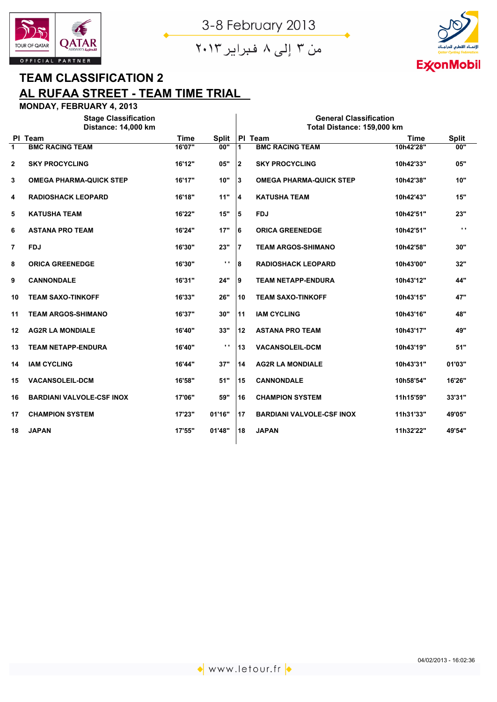





## **TEAM CLASSIFICATION 2 AL RUFAA STREET - TEAM TIME TRIAL**

|             | <b>Stage Classification</b>      |             |                |                | <b>General Classification</b>    |             |              |
|-------------|----------------------------------|-------------|----------------|----------------|----------------------------------|-------------|--------------|
|             | Distance: 14,000 km              |             |                |                | Total Distance: 159,000 km       |             |              |
| <b>PI</b>   | <b>Team</b>                      | <b>Time</b> | <b>Split</b>   |                | PI Team                          | <b>Time</b> | <b>Split</b> |
| 1           | <b>BMC RACING TEAM</b>           | 16'07"      | 00"            | $\mathbf{1}$   | <b>BMC RACING TEAM</b>           | 10h42'28"   | 00"          |
| $\mathbf 2$ | <b>SKY PROCYCLING</b>            | 16'12"      | 05"            | $\mathbf{2}$   | <b>SKY PROCYCLING</b>            | 10h42'33"   | 05"          |
| 3           | <b>OMEGA PHARMA-QUICK STEP</b>   | 16'17"      | 10"            | 3              | <b>OMEGA PHARMA-QUICK STEP</b>   | 10h42'38"   | 10"          |
| 4           | <b>RADIOSHACK LEOPARD</b>        | 16'18"      | 11"            | 4              | <b>KATUSHA TEAM</b>              | 10h42'43"   | 15"          |
| 5           | <b>KATUSHA TEAM</b>              | 16'22"      | 15"            | 5              | <b>FDJ</b>                       | 10h42'51"   | 23"          |
| 6           | <b>ASTANA PRO TEAM</b>           | 16'24"      | 17"            | 6              | <b>ORICA GREENEDGE</b>           | 10h42'51"   | $\mathbf{r}$ |
| 7           | <b>FDJ</b>                       | 16'30"      | 23"            | $\overline{7}$ | <b>TEAM ARGOS-SHIMANO</b>        | 10h42'58"   | 30"          |
| 8           | <b>ORICA GREENEDGE</b>           | 16'30"      | $\mathbf{r}$   | 8              | <b>RADIOSHACK LEOPARD</b>        | 10h43'00"   | 32"          |
| 9           | <b>CANNONDALE</b>                | 16'31"      | 24"            | 9              | <b>TEAM NETAPP-ENDURA</b>        | 10h43'12"   | 44"          |
| 10          | <b>TEAM SAXO-TINKOFF</b>         | 16'33"      | 26"            | 10             | <b>TEAM SAXO-TINKOFF</b>         | 10h43'15"   | 47"          |
| 11          | <b>TEAM ARGOS-SHIMANO</b>        | 16'37"      | 30"            | 11             | <b>IAM CYCLING</b>               | 10h43'16"   | 48"          |
| 12          | <b>AG2R LA MONDIALE</b>          | 16'40"      | 33"            | 12             | <b>ASTANA PRO TEAM</b>           | 10h43'17"   | 49"          |
| 13          | <b>TEAM NETAPP-ENDURA</b>        | 16'40"      | $\mathbf{r}$ . | 13             | <b>VACANSOLEIL-DCM</b>           | 10h43'19"   | 51"          |
| 14          | <b>IAM CYCLING</b>               | 16'44"      | 37"            | 14             | <b>AG2R LA MONDIALE</b>          | 10h43'31"   | 01'03"       |
| 15          | <b>VACANSOLEIL-DCM</b>           | 16'58"      | 51"            | 15             | <b>CANNONDALE</b>                | 10h58'54"   | 16'26"       |
| 16          | <b>BARDIANI VALVOLE-CSF INOX</b> | 17'06"      | 59"            | 16             | <b>CHAMPION SYSTEM</b>           | 11h15'59"   | 33'31"       |
| 17          | <b>CHAMPION SYSTEM</b>           | 17'23"      | 01'16"         | 17             | <b>BARDIANI VALVOLE-CSF INOX</b> | 11h31'33"   | 49'05"       |
| 18          | <b>JAPAN</b>                     | 17'55"      | 01'48"         | 18             | <b>JAPAN</b>                     | 11h32'22"   | 49'54"       |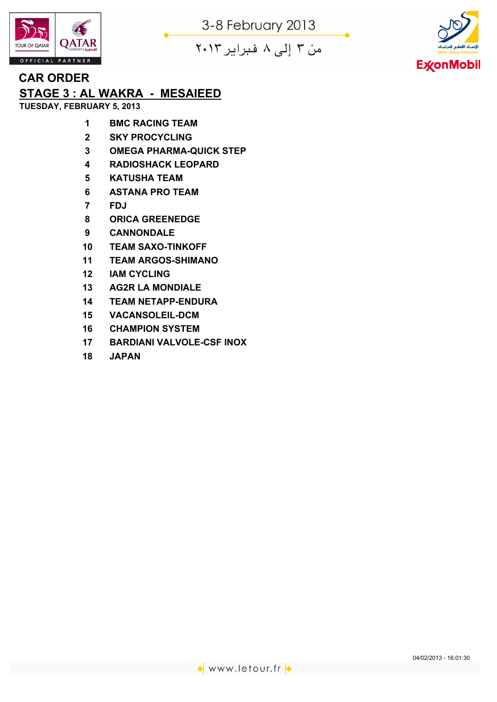



من ۳ إلى ۸ فبراير ۲۰۱۳

# **CAR ORDER**

# **STAGE 3 : AL WAKRA - MESAIEED**

**TUESDAY, FEBRUARY 5, 2013**

- **BMC RACING TEAM**
- **SKY PROCYCLING**
- **OMEGA PHARMA-QUICK STEP**
- **RADIOSHACK LEOPARD**
- **KATUSHA TEAM**
- **ASTANA PRO TEAM**
- **FDJ**
- **ORICA GREENEDGE**
- **CANNONDALE**
- **TEAM SAXO-TINKOFF**
- **TEAM ARGOS-SHIMANO**
- **IAM CYCLING**
- **AG2R LA MONDIALE**
- **TEAM NETAPP-ENDURA**
- **VACANSOLEIL-DCM**
- **CHAMPION SYSTEM**
- **BARDIANI VALVOLE-CSF INOX**
- **JAPAN**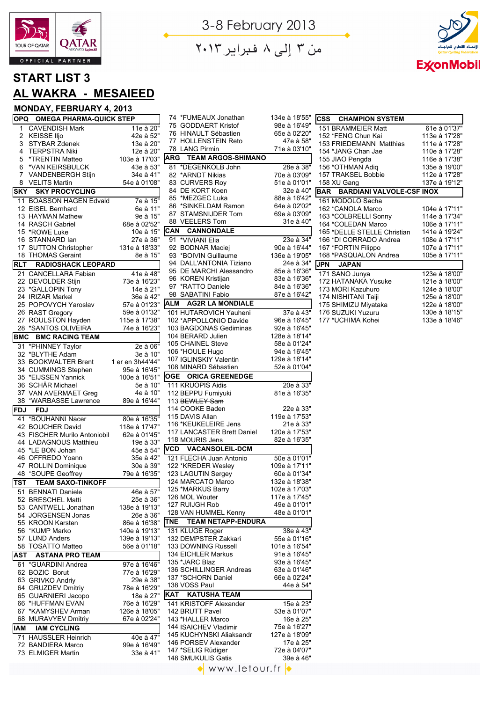



من ۳ إلى ۸ فبراير ۲۰۱۳

## **START LIST 3 AL WAKRA - MESAIEED**

|                 | OPQ OMEGA PHARMA-QUICK STEP                   |                               |
|-----------------|-----------------------------------------------|-------------------------------|
| 1               | <b>CAVENDISH Mark</b>                         | $11e$ à $20"$                 |
| 2               | <b>KEISSE IIjo</b>                            | 42e à 52"                     |
| 3               | STYBAR Zdenek                                 | 13e à 20"                     |
| 4               | <b>TERPSTRA Niki</b>                          | 12e à 20"                     |
| 5               | *TRENTIN Matteo                               | 103e à 17'03"                 |
| 6               | *VAN KEIRSBULCK                               | 43e à 53"                     |
| 7               | VANDENBERGH Stijn                             | 34e à 41"                     |
| 8<br><b>SKY</b> | <b>VELITS Martin</b><br><b>SKY PROCYCLING</b> | 54e à 01'08"                  |
| 11              | <b>BOASSON HAGEN Edvald</b>                   |                               |
|                 | 12 EISEL Bernhard                             | 7e à 15"<br>6e à 11"          |
|                 | 13 HAYMAN Mathew                              | 9e à 15"                      |
|                 | 14 RASCH Gabriel                              | 68e à 02'52"                  |
|                 | 15 *ROWE Luke                                 | 10e à 15"                     |
|                 | 16 STANNARD lan                               | 27e à 36"                     |
|                 | 17 SUTTON Christopher                         | 131e à 18'33"                 |
|                 | 18 THOMAS Geraint                             | 8e à 15"                      |
| <b>RLT</b>      | <b>RADIOSHACK LEOPARD</b>                     |                               |
|                 | 21 CANCELLARA Fabian                          | 41e à 48"                     |
|                 | 22 DEVOLDER Stijn                             | 73e à 16'23"                  |
|                 | 23 *GALLOPIN Tony                             | 14e à 21"                     |
|                 | 24 IRIZAR Markel                              | 36e à 42"                     |
|                 | 25 POPOVYCH Yaroslav                          | 57e à 01'23"                  |
| 26              | <b>RAST Gregory</b>                           | 59e à 01'32"                  |
|                 | 27 ROULSTON Hayden                            | 115e à 17'38"<br>74e à 16'23" |
| 28              | *SANTOS OLIVEIRA<br><b>BMC RACING TEAM</b>    |                               |
| BMC             |                                               |                               |
| 31              | *PHINNEY Taylor<br>32 *BLYTHE Adam            | 2e à 06"<br>3e à 10"          |
|                 | 33 BOOKWALTER Brent                           | 1 er en 3h44'44"              |
|                 | 34 CUMMINGS Stephen                           | 95e à 16'45"                  |
|                 | 35 *EIJSSEN Yannick                           | 100e à 16'51"                 |
|                 | 36 SCHÄR Michael                              | 5e à 10"                      |
| 37              | VAN AVERMAET Greg                             | 4e à 10"                      |
| 38              | *WARBASSE Lawrence                            | 89e à 16'44"                  |
| FDJ             | <b>FDJ</b>                                    |                               |
|                 | 41 *BOUHANNI Nacer                            | 80e à 16'35"                  |
|                 | 42 BOUCHER David                              | 118e à 17'47"                 |
|                 | 43 FISCHER Murilo Antoniobil                  | 62e à 01'45"                  |
|                 | 44 LADAGNOUS Matthieu                         | 19e à 33"                     |
|                 | 45 *LE BON Johan                              | 45e à 54"                     |
|                 | 46 OFFREDO Yoann                              | 35e à 42"                     |
|                 | 47 ROLLIN Dominique                           | 30e à 39"                     |
|                 | 48 *SOUPE Geoffrey                            | 79e à 16'35"                  |
| <b>TST</b>      | <b>TEAM SAXO-TINKOFF</b>                      |                               |
| 51              | <b>BENNATI Daniele</b>                        | 46e à 57"                     |
|                 | 52 BRESCHEL Matti<br>53 CANTWELL Jonathan     | 25e à 36"<br>138e à 19'13"    |
|                 | 54 JORGENSEN Jonas                            | 26e à 36"                     |
|                 | 55 KROON Karsten                              | 86e à 16'38"                  |
|                 | 56 *KUMP Marko                                | 140e à 19'13"                 |
| 57              | <b>LUND Anders</b>                            | 139e à 19'13"                 |
| 58              | <b>TOSATTO Matteo</b>                         | 56e à 01'18"                  |
| <b>AST</b>      | <b>ASTANA PRO TEAM</b>                        |                               |
| 61              | *GUARDINI Andrea                              | 97e à 16'46"                  |
|                 | 62 BOZIC Borut                                | 77e à 16'29"                  |
|                 | 63 GRIVKO Andriy                              | 29e à 38"                     |
|                 | 64 GRUZDEV Dmitriy                            | 78e à 16'29"                  |
|                 | 65 GUARNIERI Jacopo                           | 18e à 27"                     |
| 66              | *HUFFMAN EVAN                                 | 76e à 16'29"                  |
|                 | 67 *KAMYSHEV Arman                            | 126e à 18'05"                 |
|                 | 68 MURAVYEV Dmitriy                           | 67e à 02'24"                  |
| <b>IAM</b>      | <b>IAM CYCLING</b>                            |                               |
| 71              | <b>HAUSSLER Heinrich</b>                      | 40e à 47"                     |
|                 | 72 BANDIERA Marco                             | 99e à 16'49"                  |
|                 | 73 ELMIGER Martin                             | 33e à 41"                     |

| 74 *FUMEAUX Jonathan                                  | 134e à 18'55"                 |
|-------------------------------------------------------|-------------------------------|
| 75 GODDAERT Kristof                                   | 98e à 16'49"                  |
| 76 HINAULT Sébastien<br>77<br><b>HOLLENSTEIN Reto</b> | 65e à 02'20"<br>47e à 58"     |
| 78<br><b>LANG Pirmin</b>                              | 71e à 03'10"                  |
| <b>TEAM ARGOS-SHIMANO</b><br><b>ARG</b>               |                               |
| 81<br>*DEGENKOLB John                                 | 28e à 38"                     |
| *ARNDT Nikias<br>82                                   | 70e à 03'09"                  |
| 83 CURVERS Roy                                        | 51e à 01'01"                  |
| 84 DE KORT Koen                                       | 32e à 40"                     |
| 85 *MEZGEC Luka                                       | 88e à 16'42"                  |
| 86 *SINKELDAM Ramon                                   | 64e à 02'02"                  |
| 87 STAMSNIJDER Tom                                    | 69e à 03'09"                  |
| <b>VEELERS Tom</b><br>88                              | 31e à 40"                     |
| <b>CANNONDALE</b><br><b>CAN</b>                       |                               |
| *VIVIANI Elia<br>91<br>92 BODNAR Maciej               | 23e à 34"<br>90e à 16'44"     |
| 93 *BOIVIN Guillaume                                  | 136e à 19'05"                 |
| 94 DALL'ANTONIA Tiziano                               | 24e à 34"                     |
| 95 DE MARCHI Alessandro                               | 85e à 16'36"                  |
| 96 KOREN Kristijan                                    | 83e à 16'36"                  |
| 97 *RATTO Daniele                                     | 84e à 16'36"                  |
| 98 SABATINI Fabio                                     | 87e à 16'42"                  |
| <b>AG2R LA MONDIALE</b><br>ALM                        |                               |
| 101 HUTAROVICH Yauheni                                | 37e à 43"                     |
| 102 *APPOLLONIO Davide                                | 96e à 16'45"                  |
| 103 BAGDONAS Gediminas                                | 92e à 16'45"                  |
| 104 BERARD Julien<br>105 CHAINEL Steve                | 128e à 18'14"<br>58e à 01'24" |
| 106 *HOULE Hugo                                       | 94e à 16'45"                  |
| 107 IGLINSKIY Valentin                                | 129e à 18'14"                 |
| 108 MINARD Sébastien                                  | 52e à 01'04"                  |
| <b>ORICA GREENEDGE</b><br><b>OGE</b>                  |                               |
| 111 KRUOPIS Aidis                                     | 20e à 33"                     |
| 112 BEPPU Fumiyuki                                    | 81e à 16'35"                  |
| 113 BEWLEY Sam                                        |                               |
| 114 COOKE Baden                                       | 22e à 33"                     |
| 115 DAVIS Allan                                       | 119e à 17'53"                 |
| 116 *KEUKELEIRE Jens<br>117 LANCASTER Brett Daniel    | 21e à 33"<br>120e à 17'53"    |
| 118 MOURIS Jens                                       | 82e à 16'35"                  |
| VCD<br><b>VACANSOLEIL-DCM</b>                         |                               |
| 121 FLECHA Juan Antonio                               | 50e à 01'01"                  |
| 122 *KREDER Weslev                                    | 109e à 17'11"                 |
| 123 LAGUTIN Sergey                                    | 60e à 01'34"                  |
| 124 MARCATO Marco                                     | 132e à 18'38"                 |
| 125 *MARKUS Barry                                     | 102e a 17'03"                 |
| 126 MOL Wouter                                        | 117e à 17'45"                 |
| 127 RUIJGH Rob                                        | 49e à 01'01"                  |
| 128 VAN HUMMEL Kenny                                  | 48e à 01'01"                  |
| <b>TEAM NETAPP-ENDURA</b><br>TNE                      |                               |
| 131 KLUGE Roger                                       | 38e à 43"                     |
| 132 DEMPSTER Zakkari                                  |                               |
|                                                       | 55e à 01'16"                  |
| 133 DOWNING Russell                                   | 101e à 16'54"                 |
| 134 EICHLER Markus                                    | 91e à 16'45"                  |
| 135 *JARC Blaz<br>136 SCHILLINGER Andreas             | 93e à 16'45"<br>63e à 01'46"  |
| 137 *SCHORN Daniel                                    | 66e à 02'24"                  |
| 138 VOSS Paul                                         | 44e à 54"                     |
| <b>KAT</b><br><b>KATUSHA TEAM</b>                     |                               |
| 141 KRISTOFF Alexander                                | 15e à 23"                     |
| 142 BRUTT Pavel                                       | 53e à 01'07"                  |
| 143 *HALLER Marco                                     | 16e à 25"                     |
| 144 ISAICHEV Vladimir                                 | 75e à 16'27"                  |
| 145 KUCHYNSKI Aliaksandr                              | 127e à 18'09"                 |
| 146 PORSEV Alexander                                  | 17e à 25"                     |
| 147 *SELIG Rüdiger<br>148 SMUKULIS Gatis              | 72e à 04'07"<br>39e à 46"     |

| <b>CSS CHAMPION SYSTEM</b>    |               |
|-------------------------------|---------------|
| 151 BRAMMEIER Matt            | 61e à 01'37"  |
| 152 *FENG Chun Kai            | 113e à 17'28" |
| 153 FRIEDEMANN Matthias       | 111e à 17'28" |
| 154 *JANG Chan Jae            | 110e à 17'28" |
| 155 JIAO Pengda               | 116e à 17'38" |
| 156 *OTHMAN Adiq              | 135e à 19'00" |
| <b>157 TRAKSEL Bobbie</b>     | 112e à 17'28" |
| 158 XU Gang                   | 137e à 19'12" |
| BAR BARDIANI VALVOLE-CSF INOX |               |
| 161 MODOLO Sacha              |               |
| 162 *CANOLA Marco             | 104e à 17'11" |
| 163 *COLBRELLI Sonny          | 114e à 17'34" |
| 164 *COLEDAN Marco            | 106e à 17'11" |
| 165 *DELLE STELLE Christian   | 141e à 19'24" |
| 166 *DI CORRADO Andrea        | 108e à 17'11" |
| 167 *FORTIN Filippo           | 107e à 17'11" |
| 168 *PASQUALON Andrea         | 105e à 17'11" |
| <b>JPN JAPAN</b>              |               |
| 171 SANO Junya                | 123e à 18'00" |
| 172 HATANAKA Yusuke           | 121e à 18'00" |
| 173 MORI Kazuhuro             | 124e à 18'00" |
| 174 NISHITANI Taiji           | 125e à 18'00" |
| 175 SHIMIZU Miyataka          | 122e à 18'00" |
| 176 SUZUKI Yuzuru             | 130e à 18'15" |
| 177 *UCHIMA Kohei             | 133e à 18'46" |